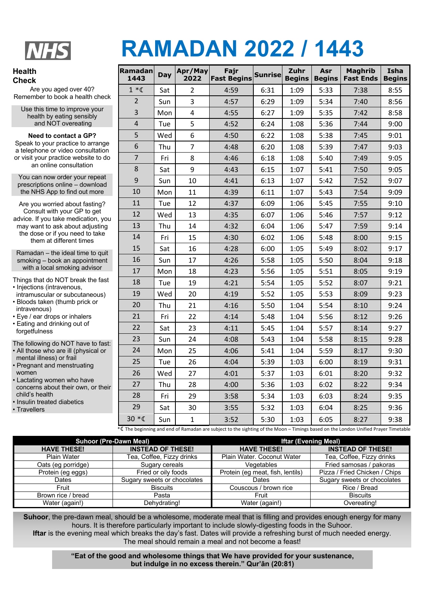

## **RAMADAN 2022 / 1443**

## **Health Check**

Are you aged over 40? Remember to book a health check

Use this time to improve your health by eating sensibly and NOT overeating

## **Need to contact a GP?**

Speak to your practice to arrange a telephone or video consultation or visit your practice website to do an online consultation

You can now order your repeat prescriptions online – download the NHS App to find out more

Are you worried about fasting? Consult with your GP to get advice. If you take medication, you may want to ask about adjusting the dose or if you need to take them at different times

Ramadan – the ideal time to quit smoking – book an appointment with a local smoking advisor

Things that do NOT break the fast

- Injections (intravenous, intramuscular or subcutaneous)
- Bloods taken (thumb prick or intravenous)
- Eye / ear drops or inhalers • Eating and drinking out of
- forgetfulness

The following do NOT have to fast:

- All those who are ill (physical or mental illness) or frail
- Pregnant and menstruating women
- Lactating women who have concerns about their own, or their child's health
- Insulin treated diabetics

• Travellers

| <b>Ramadan</b><br>1443 | Day | Apr/May<br>2022 | Fajr<br><b>Fast Begins</b> | <b>Sunrise</b> | Zuhr<br><b>Begins</b> | Asr<br><b>Begins</b> | <b>Maghrib</b><br><b>Fast Ends</b> | Isha<br><b>Begins</b> |
|------------------------|-----|-----------------|----------------------------|----------------|-----------------------|----------------------|------------------------------------|-----------------------|
| $1 * C$                | Sat | 2               | 4:59                       | 6:31           | 1:09                  | 5:33                 | 7:38                               | 8:55                  |
| $\overline{2}$         | Sun | $\overline{3}$  | 4:57                       | 6:29           | 1:09                  | 5:34                 | 7:40                               | 8:56                  |
| 3                      | Mon | $\overline{4}$  | 4:55                       | 6:27           | 1:09                  | 5:35                 | 7:42                               | 8:58                  |
| $\overline{4}$         | Tue | 5               | 4:52                       | 6:24           | 1:08                  | 5:36                 | 7:44                               | 9:00                  |
| 5                      | Wed | 6               | 4:50                       | 6:22           | 1:08                  | 5:38                 | 7:45                               | 9:01                  |
| 6                      | Thu | $\overline{7}$  | 4:48                       | 6:20           | 1:08                  | 5:39                 | 7:47                               | 9:03                  |
| $\overline{7}$         | Fri | 8               | 4:46                       | 6:18           | 1:08                  | 5:40                 | 7:49                               | 9:05                  |
| 8                      | Sat | 9               | 4:43                       | 6:15           | 1:07                  | 5:41                 | 7:50                               | 9:05                  |
| 9                      | Sun | 10              | 4:41                       | 6:13           | 1:07                  | 5:42                 | 7:52                               | 9:07                  |
| 10                     | Mon | 11              | 4:39                       | 6:11           | 1:07                  | 5:43                 | 7:54                               | 9:09                  |
| 11                     | Tue | 12              | 4:37                       | 6:09           | 1:06                  | 5:45                 | 7:55                               | 9:10                  |
| 12                     | Wed | 13              | 4:35                       | 6:07           | 1:06                  | 5:46                 | 7:57                               | 9:12                  |
| 13                     | Thu | 14              | 4:32                       | 6:04           | 1:06                  | 5:47                 | 7:59                               | 9:14                  |
| 14                     | Fri | 15              | 4:30                       | 6:02           | 1:06                  | 5:48                 | 8:00                               | 9:15                  |
| 15                     | Sat | 16              | 4:28                       | 6:00           | 1:05                  | 5:49                 | 8:02                               | 9:17                  |
| 16                     | Sun | 17              | 4:26                       | 5:58           | 1:05                  | 5:50                 | 8:04                               | 9:18                  |
| 17                     | Mon | 18              | 4:23                       | 5:56           | 1:05                  | 5:51                 | 8:05                               | 9:19                  |
| 18                     | Tue | 19              | 4:21                       | 5:54           | 1:05                  | 5:52                 | 8:07                               | 9:21                  |
| 19                     | Wed | 20              | 4:19                       | 5:52           | 1:05                  | 5:53                 | 8:09                               | 9:23                  |
| 20                     | Thu | 21              | 4:16                       | 5:50           | 1:04                  | 5:54                 | 8:10                               | 9:24                  |
| 21                     | Fri | 22              | 4:14                       | 5:48           | 1:04                  | 5:56                 | 8:12                               | 9:26                  |
| 22                     | Sat | 23              | 4:11                       | 5:45           | 1:04                  | 5:57                 | 8:14                               | 9:27                  |
| 23                     | Sun | 24              | 4:08                       | 5:43           | 1:04                  | 5:58                 | 8:15                               | 9:28                  |
| 24                     | Mon | 25              | 4:06                       | 5:41           | 1:04                  | 5:59                 | 8:17                               | 9:30                  |
| 25                     | Tue | 26              | 4:04                       | 5:39           | 1:03                  | 6:00                 | 8:19                               | 9:31                  |
| 26                     | Wed | 27              | 4:01                       | 5:37           | 1:03                  | 6:01                 | 8:20                               | 9:32                  |
| 27                     | Thu | 28              | 4:00                       | 5:36           | 1:03                  | 6:02                 | 8:22                               | 9:34                  |
| 28                     | Fri | 29              | 3:58                       | 5:34           | 1:03                  | 6:03                 | 8:24                               | 9:35                  |
| 29                     | Sat | 30              | 3:55                       | 5:32           | 1:03                  | 6:04                 | 8:25                               | 9:36                  |
| $30 * C$               | Sun | $\mathbf{1}$    | 3:52                       | 5:30           | 1:03                  | 6:05                 | 8:27                               | 9:38                  |

\* The beginning and end of Ramadan are subject to the sighting of the Moon – Timings based on the London Unified Prayer Timetable

|                    | <b>Suhoor (Pre-Dawn Meal)</b> | <b>Iftar (Evening Meal)</b>      |                               |  |  |
|--------------------|-------------------------------|----------------------------------|-------------------------------|--|--|
| <b>HAVE THESE!</b> | <b>INSTEAD OF THESE!</b>      | <b>HAVE THESE!</b>               | <b>INSTEAD OF THESE!</b>      |  |  |
| <b>Plain Water</b> | Tea, Coffee, Fizzy drinks     | Plain Water. Coconut Water       | Tea, Coffee, Fizzy drinks     |  |  |
| Oats (eg porridge) | Sugary cereals                | Vegetables                       | Fried samosas / pakoras       |  |  |
| Protein (eg eggs)  | Fried or oily foods           | Protein (eg meat, fish, lentils) | Pizza / Fried Chicken / Chips |  |  |
| Dates              | Sugary sweets or chocolates   | Dates                            | Sugary sweets or chocolates   |  |  |
| Fruit              | <b>Biscuits</b>               | Couscous / brown rice            | Rice / Bread                  |  |  |
| Brown rice / bread | Pasta                         | Fruit                            | <b>Biscuits</b>               |  |  |
| Water (again!)     | Dehydrating!                  | Water (again!)                   | Overeating!                   |  |  |

**Suhoor**, the pre-dawn meal, should be a wholesome, moderate meal that is filling and provides enough energy for many hours. It is therefore particularly important to include slowly-digesting foods in the Suhoor.

**Iftar** is the evening meal which breaks the day's fast. Dates will provide a refreshing burst of much needed energy. The meal should remain a meal and not become a feast!

> **"Eat of the good and wholesome things that We have provided for your sustenance, but indulge in no excess therein." Qur'ān (20:81)**